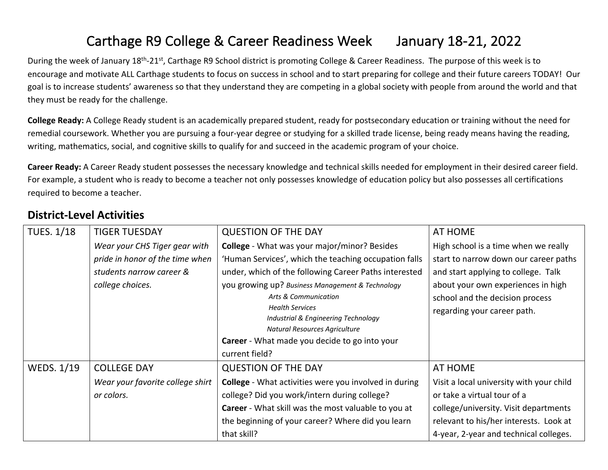## Carthage R9 College & Career Readiness Week January 18-21, 2022

During the week of January 18<sup>th</sup>-21<sup>st</sup>, Carthage R9 School district is promoting College & Career Readiness. The purpose of this week is to encourage and motivate ALL Carthage students to focus on success in school and to start preparing for college and their future careers TODAY! Our goal is to increase students' awareness so that they understand they are competing in a global society with people from around the world and that they must be ready for the challenge.

**College Ready:** A College Ready student is an academically prepared student, ready for postsecondary education or training without the need for remedial coursework. Whether you are pursuing a four-year degree or studying for a skilled trade license, being ready means having the reading, writing, mathematics, social, and cognitive skills to qualify for and succeed in the academic program of your choice.

**Career Ready:** A Career Ready student possesses the necessary knowledge and technical skills needed for employment in their desired career field. For example, a student who is ready to become a teacher not only possesses knowledge of education policy but also possesses all certifications required to become a teacher.

## **District-Level Activities**

| <b>TUES. 1/18</b> | <b>TIGER TUESDAY</b>             | <b>QUESTION OF THE DAY</b>                                                                                             | AT HOME                                                        |
|-------------------|----------------------------------|------------------------------------------------------------------------------------------------------------------------|----------------------------------------------------------------|
|                   | Wear your CHS Tiger gear with    | <b>College</b> - What was your major/minor? Besides                                                                    | High school is a time when we really                           |
|                   | pride in honor of the time when  | 'Human Services', which the teaching occupation falls                                                                  | start to narrow down our career paths                          |
|                   | students narrow career &         | under, which of the following Career Paths interested                                                                  | and start applying to college. Talk                            |
|                   | college choices.                 | you growing up? Business Management & Technology                                                                       | about your own experiences in high                             |
|                   |                                  | Arts & Communication<br><b>Health Services</b><br>Industrial & Engineering Technology<br>Natural Resources Agriculture | school and the decision process<br>regarding your career path. |
|                   |                                  | Career - What made you decide to go into your                                                                          |                                                                |
|                   |                                  | current field?                                                                                                         |                                                                |
| <b>WEDS. 1/19</b> | <b>COLLEGE DAY</b>               | <b>QUESTION OF THE DAY</b>                                                                                             | AT HOME                                                        |
|                   | Wear your favorite college shirt | <b>College</b> - What activities were you involved in during                                                           | Visit a local university with your child                       |
|                   | or colors.                       | college? Did you work/intern during college?                                                                           | or take a virtual tour of a                                    |
|                   |                                  | Career - What skill was the most valuable to you at                                                                    | college/university. Visit departments                          |
|                   |                                  | the beginning of your career? Where did you learn                                                                      | relevant to his/her interests. Look at                         |
|                   |                                  | that skill?                                                                                                            | 4-year, 2-year and technical colleges.                         |